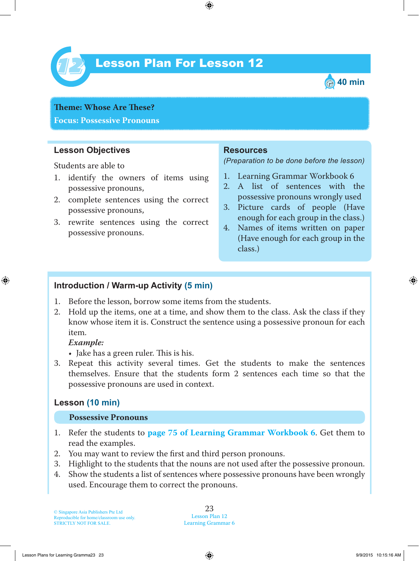

# Lesson Plan For Lesson 12 *12*



**Theme: Whose** Are **These? Focus: Possessive Pronouns**

#### **Lesson Objectives**

Students are able to

- 1. identify the owners of items using possessive pronouns,
- 2. complete sentences using the correct possessive pronouns,
- 3. rewrite sentences using the correct possessive pronouns.

#### **Resources**

*(Preparation to be done before the lesson)*

- 1. Learning Grammar Workbook 6
- 2. A list of sentences with the possessive pronouns wrongly used
- 3. Picture cards of people (Have enough for each group in the class.)
- 4. Names of items written on paper (Have enough for each group in the class.)

#### **Introduction / Warm-up Activity (5 min)**

- 1. Before the lesson, borrow some items from the students.
- 2. Hold up the items, one at a time, and show them to the class. Ask the class if they know whose item it is. Construct the sentence using a possessive pronoun for each item.

#### *Example:*

- Jake has a green ruler. This is his.
- 3. Repeat this activity several times. Get the students to make the sentences themselves. Ensure that the students form 2 sentences each time so that the possessive pronouns are used in context.

## **Lesson (10 min)**

#### **Possessive Pronouns**

- 1. Refer the students to **page 75 of Learning Grammar Workbook 6**. Get them to read the examples.
- 2. You may want to review the first and third person pronouns.
- 3. Highlight to the students that the nouns are not used after the possessive pronoun.
- 4. Show the students a list of sentences where possessive pronouns have been wrongly used. Encourage them to correct the pronouns.